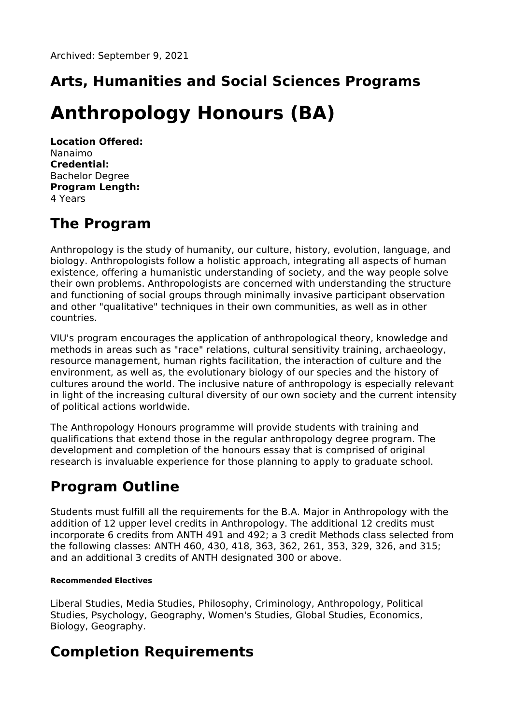## **Arts, Humanities and Social Sciences Programs**

# **Anthropology Honours (BA)**

**Location Offered:** Nanaimo **Credential:** Bachelor Degree **Program Length:** 4 Years

### **The Program**

Anthropology is the study of humanity, our culture, history, evolution, language, and biology. Anthropologists follow a holistic approach, integrating all aspects of human existence, offering a humanistic understanding of society, and the way people solve their own problems. Anthropologists are concerned with understanding the structure and functioning of social groups through minimally invasive participant observation and other "qualitative" techniques in their own communities, as well as in other countries.

VIU's program encourages the application of anthropological theory, knowledge and methods in areas such as "race" relations, cultural sensitivity training, archaeology, resource management, human rights facilitation, the interaction of culture and the environment, as well as, the evolutionary biology of our species and the history of cultures around the world. The inclusive nature of anthropology is especially relevant in light of the increasing cultural diversity of our own society and the current intensity of political actions worldwide.

The Anthropology Honours programme will provide students with training and qualifications that extend those in the regular anthropology degree program. The development and completion of the honours essay that is comprised of original research is invaluable experience for those planning to apply to graduate school.

### **Program Outline**

Students must fulfill all the requirements for the B.A. Major in Anthropology with the addition of 12 upper level credits in Anthropology. The additional 12 credits must incorporate 6 credits from ANTH 491 and 492; a 3 credit Methods class selected from the following classes: ANTH 460, 430, 418, 363, 362, 261, 353, 329, 326, and 315; and an additional 3 credits of ANTH designated 300 or above.

#### **Recommended Electives**

Liberal Studies, Media Studies, Philosophy, Criminology, Anthropology, Political Studies, Psychology, Geography, Women's Studies, Global Studies, Economics, Biology, Geography.

### **Completion Requirements**